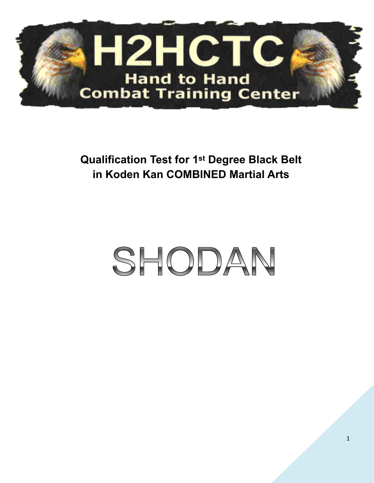

**Qualification Test for 1st Degree Black Belt in Koden Kan COMBINED Martial Arts** 

# SHODAN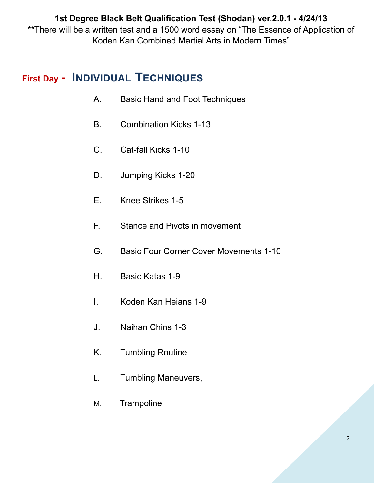**1st Degree Black Belt Qualification Test (Shodan) ver.2.0.1 - 4/24/13** \*\*There will be a written test and a 1500 word essay on "The Essence of Application of Koden Kan Combined Martial Arts in Modern Times"

# **First Day - INDIVIDUAL TECHNIQUES**

- A. Basic Hand and Foot Techniques
- B. Combination Kicks 1-13
- C. Cat-fall Kicks 1-10
- D. Jumping Kicks 1-20
- E. Knee Strikes 1-5
- F. Stance and Pivots in movement
- G. Basic Four Corner Cover Movements 1-10
- H. Basic Katas 1-9
- I. Koden Kan Heians 1-9
- J. Naihan Chins 1-3
- K. Tumbling Routine
- L. Tumbling Maneuvers,
- M. Trampoline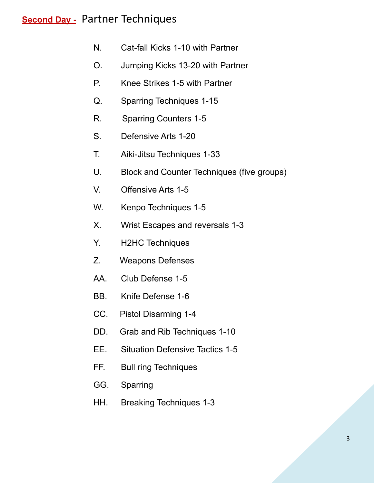# **Second Day -** Partner Techniques

- N. Cat-fall Kicks 1-10 with Partner
- O. Jumping Kicks 13-20 with Partner
- P. Knee Strikes 1-5 with Partner
- Q. Sparring Techniques 1-15
- R. Sparring Counters 1-5
- S. Defensive Arts 1-20
- T. Aiki-Jitsu Techniques 1-33
- U. Block and Counter Techniques (five groups)
- V. Offensive Arts 1-5
- W. Kenpo Techniques 1-5
- X. Wrist Escapes and reversals 1-3
- Y. H2HC Techniques
- Z. Weapons Defenses
- AA. Club Defense 1-5
- BB. Knife Defense 1-6
- CC. Pistol Disarming 1-4
- DD. Grab and Rib Techniques 1-10
- EE. Situation Defensive Tactics 1-5
- FF. Bull ring Techniques
- GG. Sparring
- HH. Breaking Techniques 1-3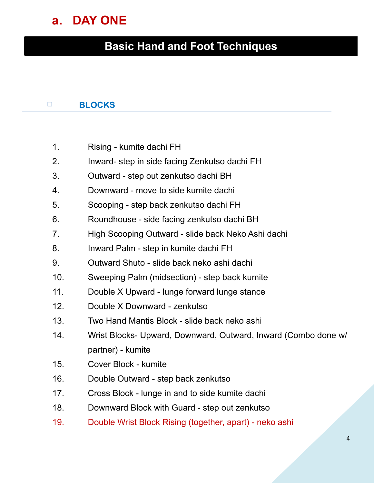# **a. DAY ONE**

# **Basic Hand and Foot Techniques**

#### □ **BLOCKS**

- 1. Rising kumite dachi FH
- 2. Inward- step in side facing Zenkutso dachi FH
- 3. Outward step out zenkutso dachi BH
- 4. Downward move to side kumite dachi
- 5. Scooping step back zenkutso dachi FH
- 6. Roundhouse side facing zenkutso dachi BH
- 7. High Scooping Outward slide back Neko Ashi dachi
- 8. Inward Palm step in kumite dachi FH
- 9. Outward Shuto slide back neko ashi dachi
- 10. Sweeping Palm (midsection) step back kumite
- 11. Double X Upward lunge forward lunge stance
- 12. Double X Downward zenkutso
- 13. Two Hand Mantis Block slide back neko ashi
- 14. Wrist Blocks- Upward, Downward, Outward, Inward (Combo done w/ partner) - kumite
- 15. Cover Block kumite
- 16. Double Outward step back zenkutso
- 17. Cross Block lunge in and to side kumite dachi
- 18. Downward Block with Guard step out zenkutso
- 19. Double Wrist Block Rising (together, apart) neko ashi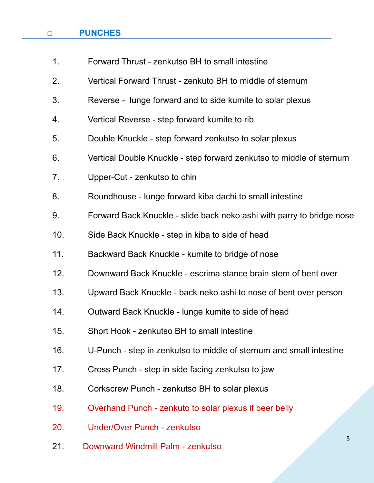#### □ **PUNCHES**

| 1 <sub>1</sub> | Forward Thrust - zenkutso BH to small intestine                       |
|----------------|-----------------------------------------------------------------------|
| 2.             | Vertical Forward Thrust - zenkuto BH to middle of sternum             |
| 3.             | Reverse - lunge forward and to side kumite to solar plexus            |
| 4.             | Vertical Reverse - step forward kumite to rib                         |
| 5.             | Double Knuckle - step forward zenkutso to solar plexus                |
| 6.             | Vertical Double Knuckle - step forward zenkutso to middle of sternum  |
| 7.             | Upper-Cut - zenkutso to chin                                          |
| 8.             | Roundhouse - lunge forward kiba dachi to small intestine              |
| 9.             | Forward Back Knuckle - slide back neko ashi with parry to bridge nose |
| 10.            | Side Back Knuckle - step in kiba to side of head                      |
| 11.            | Backward Back Knuckle - kumite to bridge of nose                      |
| 12.            | Downward Back Knuckle - escrima stance brain stem of bent over        |
| 13.            | Upward Back Knuckle - back neko ashi to nose of bent over person      |
| 14.            | Outward Back Knuckle - lunge kumite to side of head                   |
| 15.            | Short Hook - zenkutso BH to small intestine                           |
| 16.            | U-Punch - step in zenkutso to middle of sternum and small intestine   |
| 17.            | Cross Punch - step in side facing zenkutso to jaw                     |
| 18.            | Corkscrew Punch - zenkutso BH to solar plexus                         |
| 19.            | Overhand Punch - zenkuto to solar plexus if beer belly                |
| 20.            | Under/Over Punch - zenkutso                                           |
| 21.            | 5<br>Downward Windmill Palm - zenkutso                                |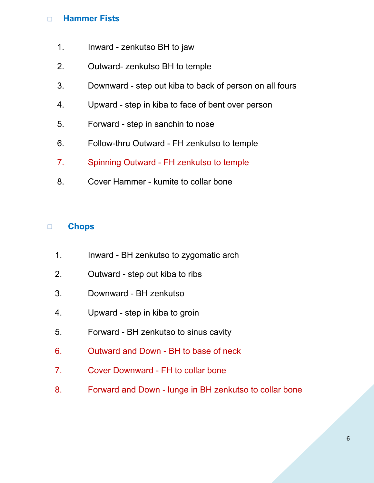#### □ **Hammer Fists**

- 1. Inward zenkutso BH to jaw
- 2. Outward- zenkutso BH to temple
- 3. Downward step out kiba to back of person on all fours
- 4. Upward step in kiba to face of bent over person
- 5. Forward step in sanchin to nose
- 6. Follow-thru Outward FH zenkutso to temple
- 7. Spinning Outward FH zenkutso to temple
- 8. Cover Hammer kumite to collar bone

#### □ **Chops**

- 1. Inward BH zenkutso to zygomatic arch
- 2. Outward step out kiba to ribs
- 3. Downward BH zenkutso
- 4. Upward step in kiba to groin
- 5. Forward BH zenkutso to sinus cavity
- 6. Outward and Down BH to base of neck
- 7. Cover Downward FH to collar bone
- 8. Forward and Down lunge in BH zenkutso to collar bone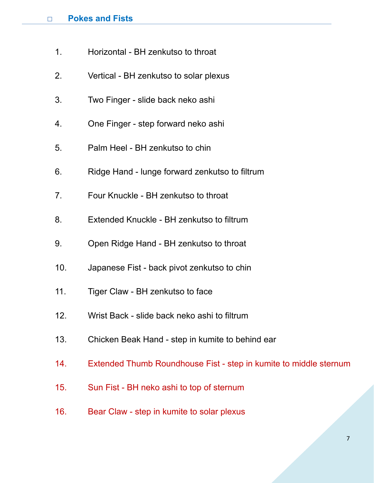- 1. Horizontal BH zenkutso to throat
- 2. Vertical BH zenkutso to solar plexus
- 3. Two Finger slide back neko ashi
- 4. One Finger step forward neko ashi
- 5. Palm Heel BH zenkutso to chin
- 6. Ridge Hand lunge forward zenkutso to filtrum
- 7. Four Knuckle BH zenkutso to throat
- 8. Extended Knuckle BH zenkutso to filtrum
- 9. Open Ridge Hand BH zenkutso to throat
- 10. Japanese Fist back pivot zenkutso to chin
- 11. Tiger Claw BH zenkutso to face
- 12. Wrist Back slide back neko ashi to filtrum
- 13. Chicken Beak Hand step in kumite to behind ear
- 14. Extended Thumb Roundhouse Fist step in kumite to middle sternum
- 15. Sun Fist BH neko ashi to top of sternum
- 16. Bear Claw step in kumite to solar plexus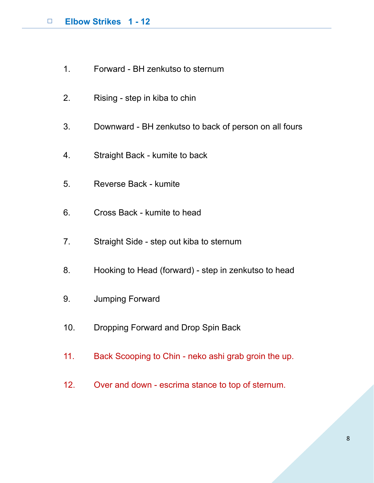- 1. Forward BH zenkutso to sternum
- 2. Rising step in kiba to chin
- 3. Downward BH zenkutso to back of person on all fours
- 4. Straight Back kumite to back
- 5. Reverse Back kumite
- 6. Cross Back kumite to head
- 7. Straight Side step out kiba to sternum
- 8. Hooking to Head (forward) step in zenkutso to head
- 9. Jumping Forward
- 10. Dropping Forward and Drop Spin Back
- 11. Back Scooping to Chin neko ashi grab groin the up.
- 12. Over and down escrima stance to top of sternum.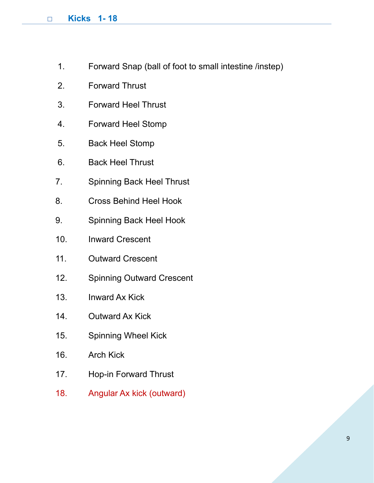#### □ **Kicks 1- 18**

- 1. Forward Snap (ball of foot to small intestine /instep)
- 2. Forward Thrust
- 3. Forward Heel Thrust
- 4. Forward Heel Stomp
- 5. Back Heel Stomp
- 6. Back Heel Thrust
- 7. Spinning Back Heel Thrust
- 8. Cross Behind Heel Hook
- 9. Spinning Back Heel Hook
- 10. Inward Crescent
- 11. Outward Crescent
- 12. Spinning Outward Crescent
- 13. Inward Ax Kick
- 14. Outward Ax Kick
- 15. Spinning Wheel Kick
- 16. Arch Kick
- 17. Hop-in Forward Thrust
- 18. Angular Ax kick (outward)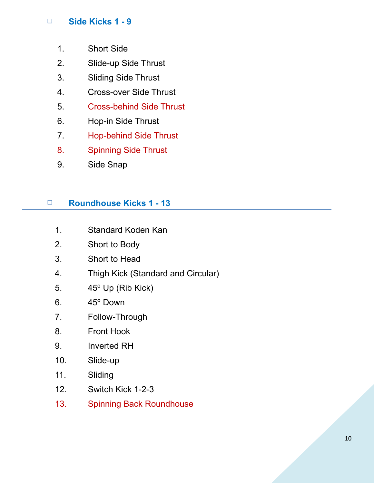- 1. Short Side
- 2. Slide-up Side Thrust
- 3. Sliding Side Thrust
- 4. Cross-over Side Thrust
- 5. Cross-behind Side Thrust
- 6. Hop-in Side Thrust
- 7. Hop-behind Side Thrust
- 8. Spinning Side Thrust
- 9. Side Snap

#### □ **Roundhouse Kicks 1 - 13**

- 1. Standard Koden Kan
- 2. Short to Body
- 3. Short to Head
- 4. Thigh Kick (Standard and Circular)
- 5. 45º Up (Rib Kick)
- 6. 45º Down
- 7. Follow-Through
- 8. Front Hook
- 9. Inverted RH
- 10. Slide-up
- 11. Sliding
- 12. Switch Kick 1-2-3
- 13. Spinning Back Roundhouse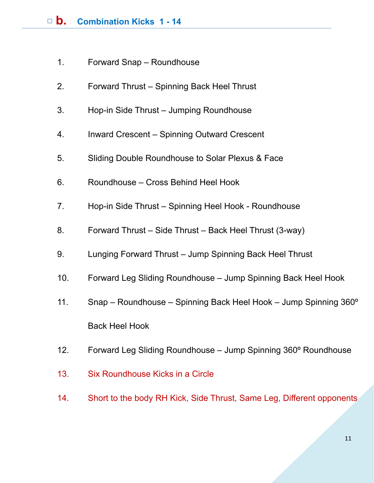- 1. Forward Snap Roundhouse
- 2. Forward Thrust Spinning Back Heel Thrust
- 3. Hop-in Side Thrust Jumping Roundhouse
- 4. Inward Crescent Spinning Outward Crescent
- 5. Sliding Double Roundhouse to Solar Plexus & Face
- 6. Roundhouse Cross Behind Heel Hook
- 7. Hop-in Side Thrust Spinning Heel Hook Roundhouse
- 8. Forward Thrust Side Thrust Back Heel Thrust (3-way)
- 9. Lunging Forward Thrust Jump Spinning Back Heel Thrust
- 10. Forward Leg Sliding Roundhouse Jump Spinning Back Heel Hook
- 11. Snap Roundhouse Spinning Back Heel Hook Jump Spinning 360º Back Heel Hook
- 12. Forward Leg Sliding Roundhouse Jump Spinning 360º Roundhouse
- 13. Six Roundhouse Kicks in a Circle
- 14. Short to the body RH Kick, Side Thrust, Same Leg, Different opponents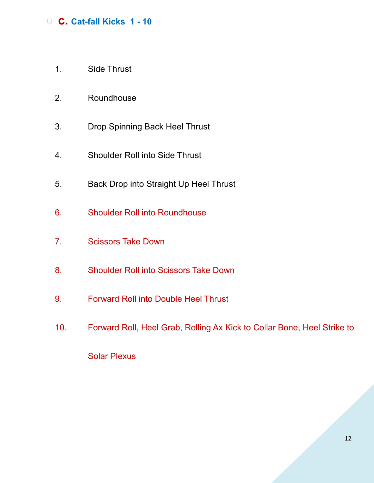- 1. Side Thrust
- 2. Roundhouse
- 3. Drop Spinning Back Heel Thrust
- 4. Shoulder Roll into Side Thrust
- 5. Back Drop into Straight Up Heel Thrust
- 6. Shoulder Roll into Roundhouse
- 7. Scissors Take Down
- 8. Shoulder Roll into Scissors Take Down
- 9. Forward Roll into Double Heel Thrust
- 10. Forward Roll, Heel Grab, Rolling Ax Kick to Collar Bone, Heel Strike to

Solar Plexus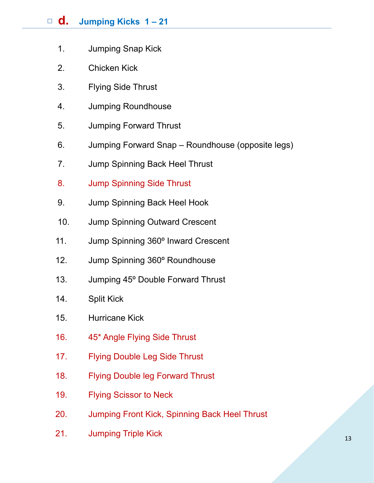# □ **d. Jumping Kicks 1 – 21**

- 1. Jumping Snap Kick
- 2. Chicken Kick
- 3. Flying Side Thrust
- 4. Jumping Roundhouse
- 5. Jumping Forward Thrust
- 6. Jumping Forward Snap Roundhouse (opposite legs)
- 7. Jump Spinning Back Heel Thrust
- 8. Jump Spinning Side Thrust
- 9. Jump Spinning Back Heel Hook
- 10. Jump Spinning Outward Crescent
- 11. Jump Spinning 360º Inward Crescent
- 12. Jump Spinning 360º Roundhouse
- 13. Jumping 45º Double Forward Thrust
- 14. Split Kick
- 15. Hurricane Kick
- 16. 45\* Angle Flying Side Thrust
- 17. Flying Double Leg Side Thrust
- 18. Flying Double leg Forward Thrust
- 19. Flying Scissor to Neck
- 20. Jumping Front Kick, Spinning Back Heel Thrust
- 21. Jumping Triple Kick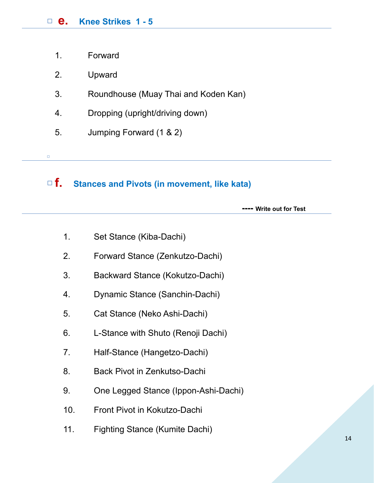- 1. Forward
- 2. Upward

□

- 3. Roundhouse (Muay Thai and Koden Kan)
- 4. Dropping (upright/driving down)
- 5. Jumping Forward (1 & 2)

# □**f. Stances and Pivots (in movement, like kata)**

 **---- Write out for Test** 

- 1. Set Stance (Kiba-Dachi)
- 2. Forward Stance (Zenkutzo-Dachi)
- 3. Backward Stance (Kokutzo-Dachi)
- 4. Dynamic Stance (Sanchin-Dachi)
- 5. Cat Stance (Neko Ashi-Dachi)
- 6. L-Stance with Shuto (Renoji Dachi)
- 7. Half-Stance (Hangetzo-Dachi)
- 8. Back Pivot in Zenkutso-Dachi
- 9. One Legged Stance (Ippon-Ashi-Dachi)
- 10. Front Pivot in Kokutzo-Dachi
- 11. Fighting Stance (Kumite Dachi)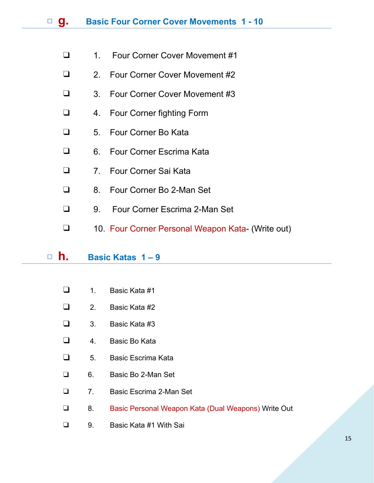- ❑ 1. Four Corner Cover Movement #1
- ❑ 2. Four Corner Cover Movement #2
- ❑ 3. Four Corner Cover Movement #3
- ❑ 4. Four Corner fighting Form
- ❑ 5. Four Corner Bo Kata
- ❑ 6. Four Corner Escrima Kata
- ❑ 7. Four Corner Sai Kata
- ❑ 8. Four Corner Bo 2-Man Set
- ❑ 9. Four Corner Escrima 2-Man Set
- ❑ 10. Four Corner Personal Weapon Kata- (Write out)

#### □ **h. Basic Katas 1 – 9**

- ❑ 1. Basic Kata #1
- ❑ 2. Basic Kata #2
- $\Box$  3. Basic Kata #3
- ❑ 4. Basic Bo Kata
- ❑ 5. Basic Escrima Kata
- ❑ 6. Basic Bo 2-Man Set
- ❑ 7. Basic Escrima 2-Man Set
- ❑ 8. Basic Personal Weapon Kata (Dual Weapons) Write Out
- ❑ 9. Basic Kata #1 With Sai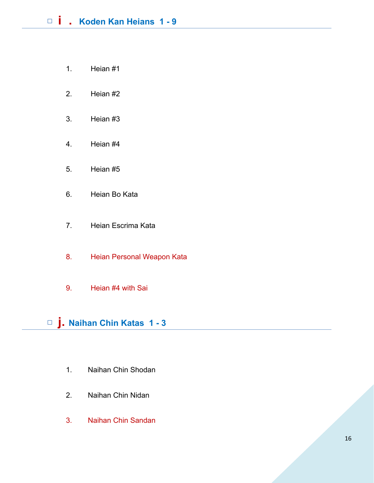- 1. Heian #1
- 2. Heian #2
- 3. Heian #3
- 4. Heian #4
- 5. Heian #5
- 6. Heian Bo Kata
- 7. Heian Escrima Kata
- 8. Heian Personal Weapon Kata
- 9. Heian #4 with Sai

□ **j. Naihan Chin Katas 1 - 3** 

- 1. Naihan Chin Shodan
- 2. Naihan Chin Nidan
- 3. Naihan Chin Sandan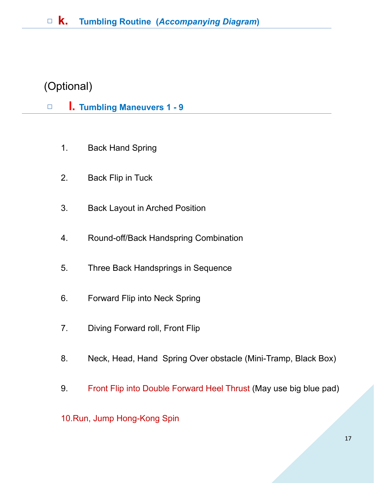# (Optional)

### □ **l.** Tumbling Maneuvers 1 - 9

- 1. Back Hand Spring
- 2. Back Flip in Tuck
- 3. Back Layout in Arched Position
- 4. Round-off/Back Handspring Combination
- 5. Three Back Handsprings in Sequence
- 6. Forward Flip into Neck Spring
- 7. Diving Forward roll, Front Flip
- 8. Neck, Head, Hand Spring Over obstacle (Mini-Tramp, Black Box)
- 9. Front Flip into Double Forward Heel Thrust (May use big blue pad)

#### 10.Run, Jump Hong-Kong Spin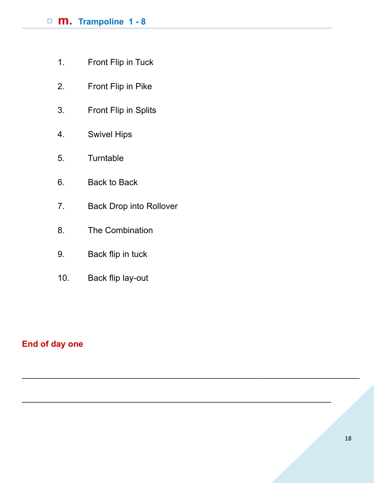### □ **m. Trampoline 1 - 8**

- 1. Front Flip in Tuck
- 2. Front Flip in Pike
- 3. Front Flip in Splits
- 4. Swivel Hips
- 5. Turntable
- 6. Back to Back
- 7. Back Drop into Rollover

 $\_$ 

 $\overline{\phantom{a}}$  , and the contribution of the contribution of the contribution of the contribution of the contribution of the contribution of the contribution of the contribution of the contribution of the contribution of the

- 8. The Combination
- 9. Back flip in tuck
- 10. Back flip lay-out

#### **End of day one**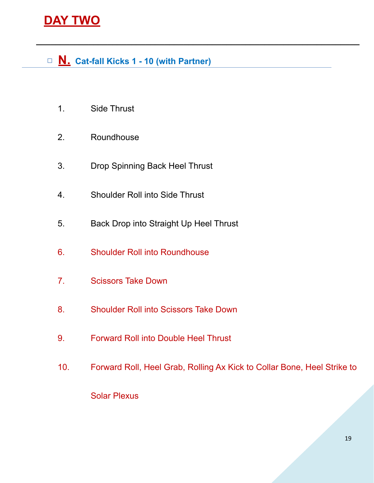# **DAY TWO**

□ **N. Cat-fall Kicks 1 - 10 (with Partner)** 

 **\_\_\_\_\_\_\_\_\_\_\_\_\_\_\_\_\_\_\_\_\_\_\_\_\_\_\_\_\_\_\_\_\_\_\_\_\_\_\_\_\_\_\_\_\_\_\_\_\_\_\_\_\_\_\_\_\_\_\_\_\_\_\_\_\_\_\_\_** 

- 1. Side Thrust
- 2. Roundhouse
- 3. Drop Spinning Back Heel Thrust
- 4. Shoulder Roll into Side Thrust
- 5. Back Drop into Straight Up Heel Thrust
- 6. Shoulder Roll into Roundhouse
- 7. Scissors Take Down
- 8. Shoulder Roll into Scissors Take Down
- 9. Forward Roll into Double Heel Thrust
- 10. Forward Roll, Heel Grab, Rolling Ax Kick to Collar Bone, Heel Strike to

Solar Plexus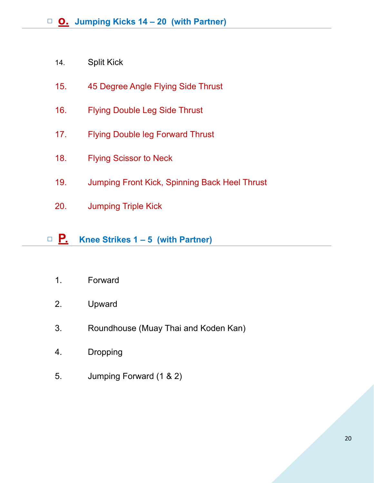- 14. Split Kick
- 15. 45 Degree Angle Flying Side Thrust
- 16. Flying Double Leg Side Thrust
- 17. Flying Double leg Forward Thrust
- 18. Flying Scissor to Neck
- 19. Jumping Front Kick, Spinning Back Heel Thrust
- 20. Jumping Triple Kick
- □ **P. Knee Strikes 1 5 (with Partner)** 
	- 1. Forward
	- 2. Upward
	- 3. Roundhouse (Muay Thai and Koden Kan)
	- 4. Dropping
	- 5. Jumping Forward (1 & 2)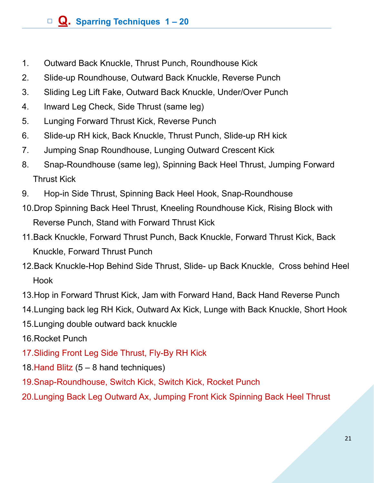# □ **Q. Sparring Techniques 1 – 20**

- 1. Outward Back Knuckle, Thrust Punch, Roundhouse Kick
- 2. Slide-up Roundhouse, Outward Back Knuckle, Reverse Punch
- 3. Sliding Leg Lift Fake, Outward Back Knuckle, Under/Over Punch
- 4. Inward Leg Check, Side Thrust (same leg)
- 5. Lunging Forward Thrust Kick, Reverse Punch
- 6. Slide-up RH kick, Back Knuckle, Thrust Punch, Slide-up RH kick
- 7. Jumping Snap Roundhouse, Lunging Outward Crescent Kick
- 8. Snap-Roundhouse (same leg), Spinning Back Heel Thrust, Jumping Forward Thrust Kick
- 9. Hop-in Side Thrust, Spinning Back Heel Hook, Snap-Roundhouse
- 10.Drop Spinning Back Heel Thrust, Kneeling Roundhouse Kick, Rising Block with Reverse Punch, Stand with Forward Thrust Kick
- 11.Back Knuckle, Forward Thrust Punch, Back Knuckle, Forward Thrust Kick, Back Knuckle, Forward Thrust Punch
- 12.Back Knuckle-Hop Behind Side Thrust, Slide- up Back Knuckle, Cross behind Heel Hook
- 13.Hop in Forward Thrust Kick, Jam with Forward Hand, Back Hand Reverse Punch
- 14.Lunging back leg RH Kick, Outward Ax Kick, Lunge with Back Knuckle, Short Hook
- 15.Lunging double outward back knuckle
- 16.Rocket Punch
- 17.Sliding Front Leg Side Thrust, Fly-By RH Kick
- 18.Hand Blitz (5 8 hand techniques)
- 19.Snap-Roundhouse, Switch Kick, Switch Kick, Rocket Punch
- 20.Lunging Back Leg Outward Ax, Jumping Front Kick Spinning Back Heel Thrust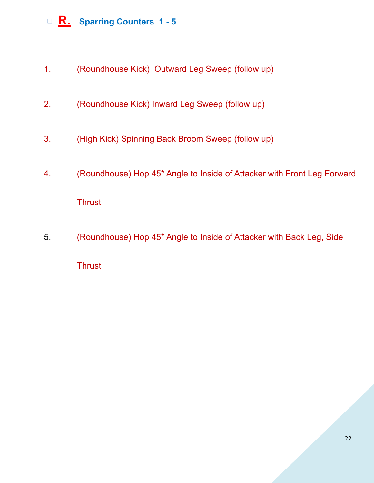- 1. (Roundhouse Kick) Outward Leg Sweep (follow up)
- 2. (Roundhouse Kick) Inward Leg Sweep (follow up)
- 3. (High Kick) Spinning Back Broom Sweep (follow up)
- 4. (Roundhouse) Hop 45\* Angle to Inside of Attacker with Front Leg Forward **Thrust**
- 5. (Roundhouse) Hop 45\* Angle to Inside of Attacker with Back Leg, Side **Thrust**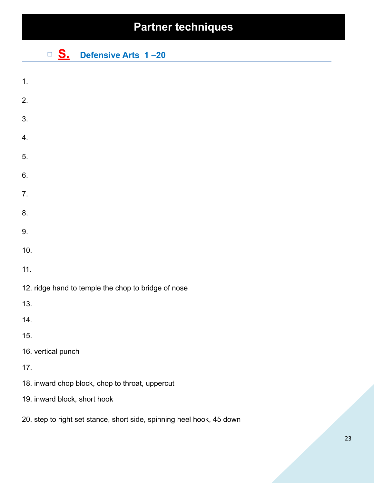# **Partner techniques**

□ **S. Defensive Arts 1 –20** 

| 1.                                                                    |
|-----------------------------------------------------------------------|
| 2.                                                                    |
| 3.                                                                    |
| 4.                                                                    |
| 5.                                                                    |
| 6.                                                                    |
| 7.                                                                    |
| 8.                                                                    |
| 9.                                                                    |
| 10.                                                                   |
| 11.                                                                   |
| 12. ridge hand to temple the chop to bridge of nose                   |
| 13.                                                                   |
| 14.                                                                   |
| 15.                                                                   |
| 16. vertical punch                                                    |
| 17.                                                                   |
| 18. inward chop block, chop to throat, uppercut                       |
| 19. inward block, short hook                                          |
| 20. step to right set stance, short side, spinning heel hook, 45 down |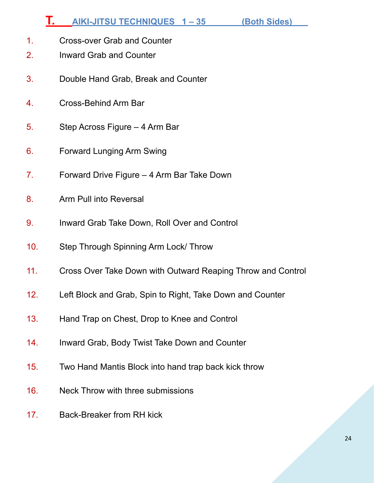# **T. AIKI-JITSU TECHNIQUES 1 – 35 (Both Sides)**

- 1. Cross-over Grab and Counter
- 2. Inward Grab and Counter
- 3. Double Hand Grab, Break and Counter
- 4. Cross-Behind Arm Bar
- 5. Step Across Figure 4 Arm Bar
- 6. Forward Lunging Arm Swing
- 7. Forward Drive Figure 4 Arm Bar Take Down
- 8. Arm Pull into Reversal
- 9. Inward Grab Take Down, Roll Over and Control
- 10. Step Through Spinning Arm Lock/ Throw
- 11. Cross Over Take Down with Outward Reaping Throw and Control
- 12. Left Block and Grab, Spin to Right, Take Down and Counter
- 13. Hand Trap on Chest, Drop to Knee and Control
- 14. Inward Grab, Body Twist Take Down and Counter
- 15. Two Hand Mantis Block into hand trap back kick throw
- 16. Neck Throw with three submissions
- 17. Back-Breaker from RH kick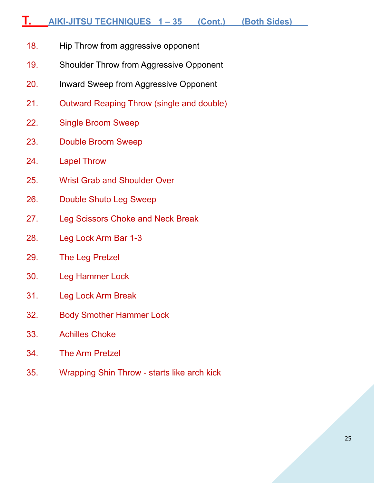### **T. AIKI-JITSU TECHNIQUES 1 – 35 (Cont.) (Both Sides)**

- 18. Hip Throw from aggressive opponent
- 19. Shoulder Throw from Aggressive Opponent
- 20. Inward Sweep from Aggressive Opponent
- 21. Outward Reaping Throw (single and double)
- 22. Single Broom Sweep
- 23. Double Broom Sweep
- 24. Lapel Throw
- 25. Wrist Grab and Shoulder Over
- 26. Double Shuto Leg Sweep
- 27. Leg Scissors Choke and Neck Break
- 28. Leg Lock Arm Bar 1-3
- 29. The Leg Pretzel
- 30. Leg Hammer Lock
- 31. Leg Lock Arm Break
- 32. Body Smother Hammer Lock
- 33. Achilles Choke
- 34. The Arm Pretzel
- 35. Wrapping Shin Throw starts like arch kick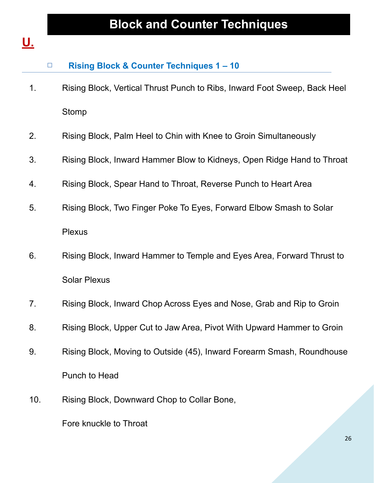# **U.**

|     | $\Box$ | <b>Rising Block &amp; Counter Techniques 1-10</b>                         |
|-----|--------|---------------------------------------------------------------------------|
| 1.  |        | Rising Block, Vertical Thrust Punch to Ribs, Inward Foot Sweep, Back Heel |
|     |        | Stomp                                                                     |
| 2.  |        | Rising Block, Palm Heel to Chin with Knee to Groin Simultaneously         |
| 3.  |        | Rising Block, Inward Hammer Blow to Kidneys, Open Ridge Hand to Throat    |
| 4.  |        | Rising Block, Spear Hand to Throat, Reverse Punch to Heart Area           |
| 5.  |        | Rising Block, Two Finger Poke To Eyes, Forward Elbow Smash to Solar       |
|     |        | <b>Plexus</b>                                                             |
| 6.  |        | Rising Block, Inward Hammer to Temple and Eyes Area, Forward Thrust to    |
|     |        | <b>Solar Plexus</b>                                                       |
| 7.  |        | Rising Block, Inward Chop Across Eyes and Nose, Grab and Rip to Groin     |
| 8.  |        | Rising Block, Upper Cut to Jaw Area, Pivot With Upward Hammer to Groin    |
| 9.  |        | Rising Block, Moving to Outside (45), Inward Forearm Smash, Roundhouse    |
|     |        | Punch to Head                                                             |
| 10. |        | Rising Block, Downward Chop to Collar Bone,                               |
|     |        | Fore knuckle to Throat                                                    |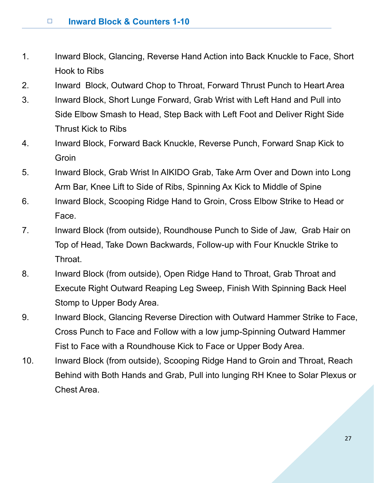- 1. Inward Block, Glancing, Reverse Hand Action into Back Knuckle to Face, Short Hook to Ribs
- 2. Inward Block, Outward Chop to Throat, Forward Thrust Punch to Heart Area
- 3. Inward Block, Short Lunge Forward, Grab Wrist with Left Hand and Pull into Side Elbow Smash to Head, Step Back with Left Foot and Deliver Right Side Thrust Kick to Ribs
- 4. Inward Block, Forward Back Knuckle, Reverse Punch, Forward Snap Kick to Groin
- 5. Inward Block, Grab Wrist In AIKIDO Grab, Take Arm Over and Down into Long Arm Bar, Knee Lift to Side of Ribs, Spinning Ax Kick to Middle of Spine
- 6. Inward Block, Scooping Ridge Hand to Groin, Cross Elbow Strike to Head or Face.
- 7. Inward Block (from outside), Roundhouse Punch to Side of Jaw, Grab Hair on Top of Head, Take Down Backwards, Follow-up with Four Knuckle Strike to Throat.
- 8. Inward Block (from outside), Open Ridge Hand to Throat, Grab Throat and Execute Right Outward Reaping Leg Sweep, Finish With Spinning Back Heel Stomp to Upper Body Area.
- 9. Inward Block, Glancing Reverse Direction with Outward Hammer Strike to Face, Cross Punch to Face and Follow with a low jump-Spinning Outward Hammer Fist to Face with a Roundhouse Kick to Face or Upper Body Area.
- 10. Inward Block (from outside), Scooping Ridge Hand to Groin and Throat, Reach Behind with Both Hands and Grab, Pull into lunging RH Knee to Solar Plexus or Chest Area.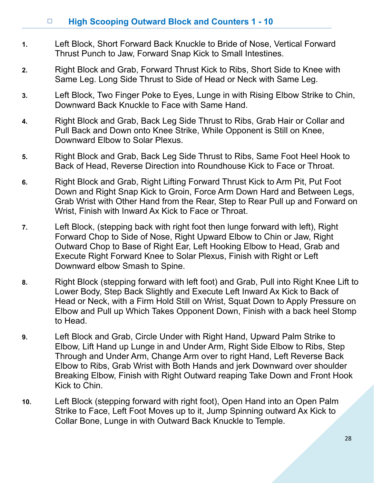#### □ **High Scooping Outward Block and Counters 1 - 10**

- **1.** Left Block, Short Forward Back Knuckle to Bride of Nose, Vertical Forward Thrust Punch to Jaw, Forward Snap Kick to Small Intestines.
- **2.** Right Block and Grab, Forward Thrust Kick to Ribs, Short Side to Knee with Same Leg. Long Side Thrust to Side of Head or Neck with Same Leg.
- **3.** Left Block, Two Finger Poke to Eyes, Lunge in with Rising Elbow Strike to Chin, Downward Back Knuckle to Face with Same Hand.
- **4.** Right Block and Grab, Back Leg Side Thrust to Ribs, Grab Hair or Collar and Pull Back and Down onto Knee Strike, While Opponent is Still on Knee, Downward Elbow to Solar Plexus.
- **5.** Right Block and Grab, Back Leg Side Thrust to Ribs, Same Foot Heel Hook to Back of Head, Reverse Direction into Roundhouse Kick to Face or Throat.
- **6.** Right Block and Grab, Right Lifting Forward Thrust Kick to Arm Pit, Put Foot Down and Right Snap Kick to Groin, Force Arm Down Hard and Between Legs, Grab Wrist with Other Hand from the Rear, Step to Rear Pull up and Forward on Wrist, Finish with Inward Ax Kick to Face or Throat.
- **7.** Left Block, (stepping back with right foot then lunge forward with left), Right Forward Chop to Side of Nose, Right Upward Elbow to Chin or Jaw, Right Outward Chop to Base of Right Ear, Left Hooking Elbow to Head, Grab and Execute Right Forward Knee to Solar Plexus, Finish with Right or Left Downward elbow Smash to Spine.
- **8.** Right Block (stepping forward with left foot) and Grab, Pull into Right Knee Lift to Lower Body, Step Back Slightly and Execute Left Inward Ax Kick to Back of Head or Neck, with a Firm Hold Still on Wrist, Squat Down to Apply Pressure on Elbow and Pull up Which Takes Opponent Down, Finish with a back heel Stomp to Head.
- **9.** Left Block and Grab, Circle Under with Right Hand, Upward Palm Strike to Elbow, Lift Hand up Lunge in and Under Arm, Right Side Elbow to Ribs, Step Through and Under Arm, Change Arm over to right Hand, Left Reverse Back Elbow to Ribs, Grab Wrist with Both Hands and jerk Downward over shoulder Breaking Elbow, Finish with Right Outward reaping Take Down and Front Hook Kick to Chin.
- **10.** Left Block (stepping forward with right foot), Open Hand into an Open Palm Strike to Face, Left Foot Moves up to it, Jump Spinning outward Ax Kick to Collar Bone, Lunge in with Outward Back Knuckle to Temple.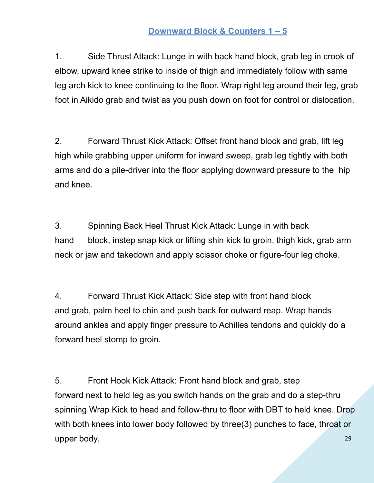#### **Downward Block & Counters 1 – 5**

1. Side Thrust Attack: Lunge in with back hand block, grab leg in crook of elbow, upward knee strike to inside of thigh and immediately follow with same leg arch kick to knee continuing to the floor. Wrap right leg around their leg, grab foot in Aikido grab and twist as you push down on foot for control or dislocation.

2. Forward Thrust Kick Attack: Offset front hand block and grab, lift leg high while grabbing upper uniform for inward sweep, grab leg tightly with both arms and do a pile-driver into the floor applying downward pressure to the hip and knee.

3. Spinning Back Heel Thrust Kick Attack: Lunge in with back hand block, instep snap kick or lifting shin kick to groin, thigh kick, grab arm neck or jaw and takedown and apply scissor choke or figure-four leg choke.

4. Forward Thrust Kick Attack: Side step with front hand block and grab, palm heel to chin and push back for outward reap. Wrap hands around ankles and apply finger pressure to Achilles tendons and quickly do a forward heel stomp to groin.

29 5. Front Hook Kick Attack: Front hand block and grab, step forward next to held leg as you switch hands on the grab and do a step-thru spinning Wrap Kick to head and follow-thru to floor with DBT to held knee. Drop with both knees into lower body followed by three(3) punches to face, throat or upper body.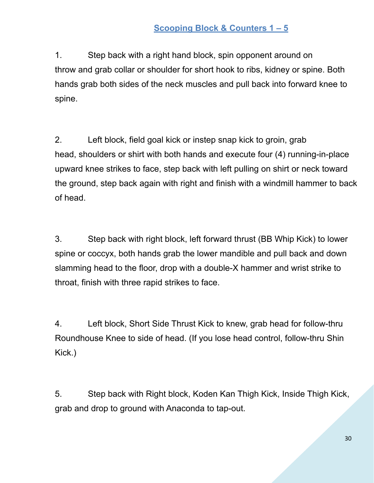#### **Scooping Block & Counters 1 – 5**

1. Step back with a right hand block, spin opponent around on throw and grab collar or shoulder for short hook to ribs, kidney or spine. Both hands grab both sides of the neck muscles and pull back into forward knee to spine.

2. Left block, field goal kick or instep snap kick to groin, grab head, shoulders or shirt with both hands and execute four (4) running-in-place upward knee strikes to face, step back with left pulling on shirt or neck toward the ground, step back again with right and finish with a windmill hammer to back of head.

3. Step back with right block, left forward thrust (BB Whip Kick) to lower spine or coccyx, both hands grab the lower mandible and pull back and down slamming head to the floor, drop with a double-X hammer and wrist strike to throat, finish with three rapid strikes to face.

4. Left block, Short Side Thrust Kick to knew, grab head for follow-thru Roundhouse Knee to side of head. (If you lose head control, follow-thru Shin Kick.)

5. Step back with Right block, Koden Kan Thigh Kick, Inside Thigh Kick, grab and drop to ground with Anaconda to tap-out.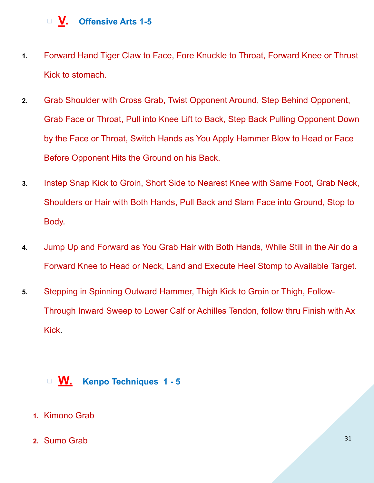- **1.** Forward Hand Tiger Claw to Face, Fore Knuckle to Throat, Forward Knee or Thrust Kick to stomach.
- **2.** Grab Shoulder with Cross Grab, Twist Opponent Around, Step Behind Opponent, Grab Face or Throat, Pull into Knee Lift to Back, Step Back Pulling Opponent Down by the Face or Throat, Switch Hands as You Apply Hammer Blow to Head or Face Before Opponent Hits the Ground on his Back.
- **3.** Instep Snap Kick to Groin, Short Side to Nearest Knee with Same Foot, Grab Neck, Shoulders or Hair with Both Hands, Pull Back and Slam Face into Ground, Stop to Body.
- **4.** Jump Up and Forward as You Grab Hair with Both Hands, While Still in the Air do a Forward Knee to Head or Neck, Land and Execute Heel Stomp to Available Target.
- **5.** Stepping in Spinning Outward Hammer, Thigh Kick to Groin or Thigh, Follow-Through Inward Sweep to Lower Calf or Achilles Tendon, follow thru Finish with Ax Kick.

#### □ **W. Kenpo Techniques 1 - 5**

- **1.** Kimono Grab
- **2.** Sumo Grab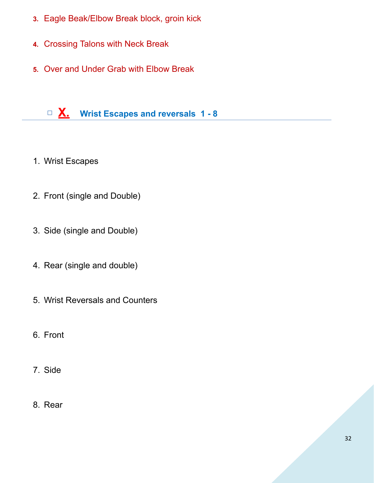- **3.** Eagle Beak/Elbow Break block, groin kick
- **4.** Crossing Talons with Neck Break
- **5.** Over and Under Grab with Elbow Break

# □ **X. Wrist Escapes and reversals 1 - 8**

- 1. Wrist Escapes
- 2. Front (single and Double)
- 3. Side (single and Double)
- 4. Rear (single and double)
- 5. Wrist Reversals and Counters
- 6. Front
- 7. Side
- 8. Rear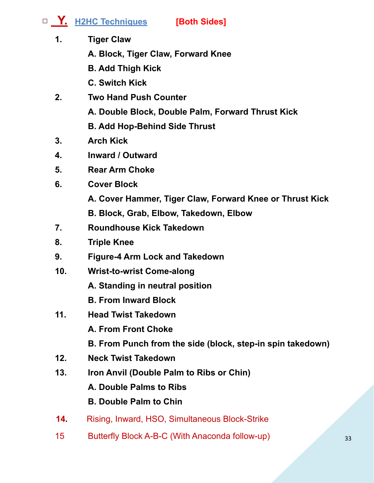□ **Y. H2HC Techniques [Both Sides]**

- **1. Tiger Claw** 
	- **A. Block, Tiger Claw, Forward Knee**
	- **B. Add Thigh Kick**
	- **C. Switch Kick**
- **2. Two Hand Push Counter** 
	- **A. Double Block, Double Palm, Forward Thrust Kick**

**B. Add Hop-Behind Side Thrust** 

- **3. Arch Kick**
- **4. Inward / Outward**
- **5. Rear Arm Choke**
- **6. Cover Block** 
	- **A. Cover Hammer, Tiger Claw, Forward Knee or Thrust Kick**
	- **B. Block, Grab, Elbow, Takedown, Elbow**
- **7. Roundhouse Kick Takedown**
- **8. Triple Knee**
- **9. Figure-4 Arm Lock and Takedown**
- **10. Wrist-to-wrist Come-along** 
	- **A. Standing in neutral position**
	- **B. From Inward Block**
- **11. Head Twist Takedown** 
	- **A. From Front Choke**
	- **B. From Punch from the side (block, step-in spin takedown)**
- **12. Neck Twist Takedown**
- **13. Iron Anvil (Double Palm to Ribs or Chin)** 
	- **A. Double Palms to Ribs**

# **B. Double Palm to Chin**

- **14.** Rising, Inward, HSO, Simultaneous Block-Strike
- 15 Butterfly Block A-B-C (With Anaconda follow-up)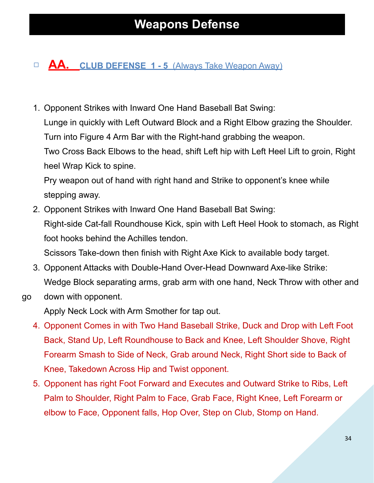# □ **AA.** CLUB DEFENSE 1 - 5 (Always Take Weapon Away)

1. Opponent Strikes with Inward One Hand Baseball Bat Swing: Lunge in quickly with Left Outward Block and a Right Elbow grazing the Shoulder. Turn into Figure 4 Arm Bar with the Right-hand grabbing the weapon. Two Cross Back Elbows to the head, shift Left hip with Left Heel Lift to groin, Right

heel Wrap Kick to spine.

Pry weapon out of hand with right hand and Strike to opponent's knee while stepping away.

2. Opponent Strikes with Inward One Hand Baseball Bat Swing: Right-side Cat-fall Roundhouse Kick, spin with Left Heel Hook to stomach, as Right foot hooks behind the Achilles tendon.

Scissors Take-down then finish with Right Axe Kick to available body target.

- 3. Opponent Attacks with Double-Hand Over-Head Downward Axe-like Strike: Wedge Block separating arms, grab arm with one hand, Neck Throw with other and
- go down with opponent.

Apply Neck Lock with Arm Smother for tap out.

- 4. Opponent Comes in with Two Hand Baseball Strike, Duck and Drop with Left Foot Back, Stand Up, Left Roundhouse to Back and Knee, Left Shoulder Shove, Right Forearm Smash to Side of Neck, Grab around Neck, Right Short side to Back of Knee, Takedown Across Hip and Twist opponent.
- 5. Opponent has right Foot Forward and Executes and Outward Strike to Ribs, Left Palm to Shoulder, Right Palm to Face, Grab Face, Right Knee, Left Forearm or elbow to Face, Opponent falls, Hop Over, Step on Club, Stomp on Hand.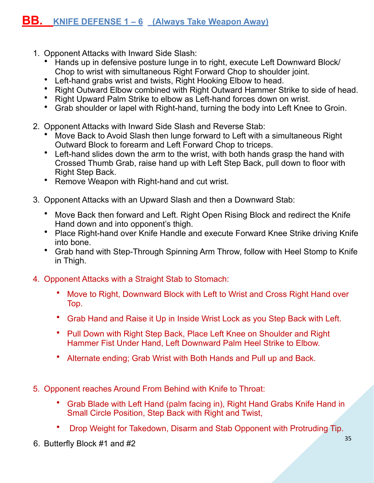- 1. Opponent Attacks with Inward Side Slash:
	- Hands up in defensive posture lunge in to right, execute Left Downward Block/ Chop to wrist with simultaneous Right Forward Chop to shoulder joint.
	- Left-hand grabs wrist and twists, Right Hooking Elbow to head.
	- Right Outward Elbow combined with Right Outward Hammer Strike to side of head.
	- Right Upward Palm Strike to elbow as Left-hand forces down on wrist.
	- Grab shoulder or lapel with Right-hand, turning the body into Left Knee to Groin.
- 2. Opponent Attacks with Inward Side Slash and Reverse Stab:
	- Move Back to Avoid Slash then lunge forward to Left with a simultaneous Right Outward Block to forearm and Left Forward Chop to triceps.
	- Left-hand slides down the arm to the wrist, with both hands grasp the hand with Crossed Thumb Grab, raise hand up with Left Step Back, pull down to floor with Right Step Back.
	- Remove Weapon with Right-hand and cut wrist.
- 3. Opponent Attacks with an Upward Slash and then a Downward Stab:
	- Move Back then forward and Left. Right Open Rising Block and redirect the Knife Hand down and into opponent's thigh.
	- Place Right-hand over Knife Handle and execute Forward Knee Strike driving Knife into bone.
	- Grab hand with Step-Through Spinning Arm Throw, follow with Heel Stomp to Knife in Thigh.
- 4. Opponent Attacks with a Straight Stab to Stomach:
	- Move to Right, Downward Block with Left to Wrist and Cross Right Hand over Top.
	- Grab Hand and Raise it Up in Inside Wrist Lock as you Step Back with Left.
	- Pull Down with Right Step Back, Place Left Knee on Shoulder and Right Hammer Fist Under Hand, Left Downward Palm Heel Strike to Elbow.
	- Alternate ending; Grab Wrist with Both Hands and Pull up and Back.
- 5. Opponent reaches Around From Behind with Knife to Throat:
	- Grab Blade with Left Hand (palm facing in), Right Hand Grabs Knife Hand in Small Circle Position, Step Back with Right and Twist,
	- Drop Weight for Takedown, Disarm and Stab Opponent with Protruding Tip.
- 6. Butterfly Block #1 and #2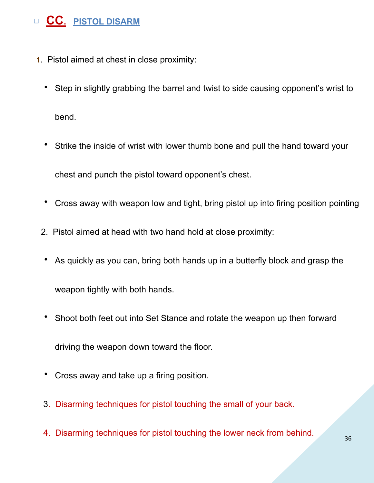# □ **CC. PISTOL DISARM**

- **1**. Pistol aimed at chest in close proximity:
	- Step in slightly grabbing the barrel and twist to side causing opponent's wrist to bend.
	- Strike the inside of wrist with lower thumb bone and pull the hand toward your

chest and punch the pistol toward opponent's chest.

- Cross away with weapon low and tight, bring pistol up into firing position pointing
- 2. Pistol aimed at head with two hand hold at close proximity:
- As quickly as you can, bring both hands up in a butterfly block and grasp the

weapon tightly with both hands.

• Shoot both feet out into Set Stance and rotate the weapon up then forward

driving the weapon down toward the floor.

- Cross away and take up a firing position.
- 3. Disarming techniques for pistol touching the small of your back.
- 4. Disarming techniques for pistol touching the lower neck from behind.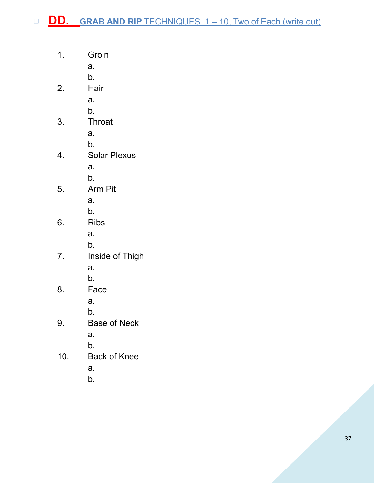- 1. Groin
	- a.
		- b.
- 2. Hair
	- a.
	- b.
- 3. Throat
	- a.
	- b.
- 4. Solar Plexus
	- a.
	- b.
- 5. Arm Pit
	- a.
	- b.
- 6. Ribs
	- a.
	- b.
- 7. Inside of Thigh
	- a.
	- b.
- 8. Face
	- a.
	- b.
- 9. Base of Neck
	- a.
	- b.
- 10. Back of Knee
	- a.
	- b.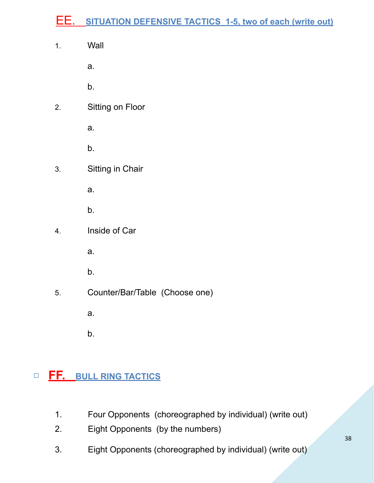# EE. **SITUATION DEFENSIVE TACTICS 1-5, two of each (write out)**

1. Wall

a.

b.

2. Sitting on Floor

a.

b.

3. Sitting in Chair

a.

- b.
- 4. Inside of Car
	- a.
	- b.
- 5. Counter/Bar/Table (Choose one)

a.

b.

# □ **FF. BULL RING TACTICS**

- 1. Four Opponents (choreographed by individual) (write out)
- 2. Eight Opponents (by the numbers)
- 3. Eight Opponents (choreographed by individual) (write out)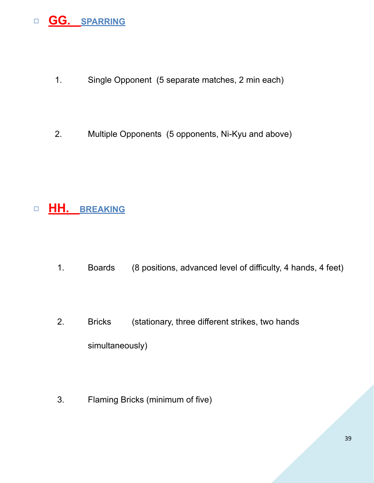# □ **GG. SPARRING**

- 1. Single Opponent (5 separate matches, 2 min each)
- 2. Multiple Opponents (5 opponents, Ni-Kyu and above)

# □ **HH. BREAKING**

- 1. Boards (8 positions, advanced level of difficulty, 4 hands, 4 feet)
- 2. Bricks (stationary, three different strikes, two hands simultaneously)
- 3. Flaming Bricks (minimum of five)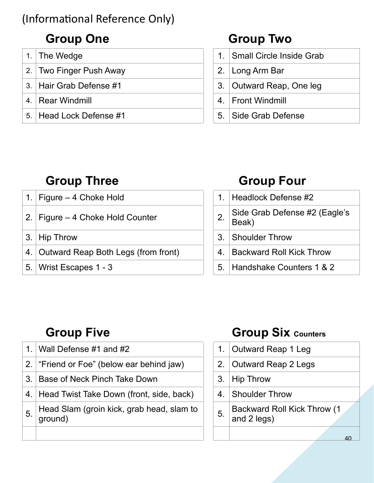# (Informational Reference Only)

# Group One Group Two

|    | 1. The Wedge            | 1. Small Circle Inside Grab |
|----|-------------------------|-----------------------------|
|    | 2. Two Finger Push Away | 2. Long Arm Bar             |
|    | 3. Hair Grab Defense #1 | 3. Outward Reap, One leg    |
| 4. | Rear Windmill           | 4.   Front Windmill         |
|    | 5. Head Lock Defense #1 | 5. Side Grab Defense        |
|    |                         |                             |

| 1. Small Circle Inside Grab |
|-----------------------------|
| 2. Long Arm Bar             |
| 3. Outward Reap, One leg    |
| 4. Front Windmill           |
| 5 Side Grab Defense         |

# **Group Three Group Four**

| 1. Headlock Defense #2<br>1. Figure $-$ 4 Choke Hold                        |
|-----------------------------------------------------------------------------|
|                                                                             |
| Side Grab Defense #2 (Eagle's Beak)<br>2.   Figure $-$ 4 Choke Hold Counter |
| 3. Hip Throw<br>3. Shoulder Throw                                           |
| 4. Outward Reap Both Legs (from front)<br>4. Backward Roll Kick Throw       |
| 5. Wrist Escapes $1 - 3$<br>5. Handshake Counters 1 & 2                     |

|    | 1. Headlock Defense #2              |
|----|-------------------------------------|
| 2. | Side Grab Defense #2 (Eagle's Beak) |
|    | 3. Shoulder Throw                   |
|    | 4. Backward Roll Kick Throw         |
|    | 5. Handshake Counters 1 & 2         |

|    | 1. Wall Defense #1 and #2                            |             | 1. Outward Reap 1 Leg                              |
|----|------------------------------------------------------|-------------|----------------------------------------------------|
|    | 2. "Friend or Foe" (below ear behind jaw)            |             | 2. Outward Reap 2 Legs                             |
|    | 3. Base of Neck Pinch Take Down                      | 3.          | <b>Hip Throw</b>                                   |
|    | 4. Head Twist Take Down (front, side, back)          | $4_{\cdot}$ | <b>Shoulder Throw</b>                              |
| 5. | Head Slam (groin kick, grab head, slam to<br>ground) | 5.          | <b>Backward Roll Kick Throw (1)</b><br>and 2 legs) |
|    |                                                      |             |                                                    |

# **Group Five Group Six Counters**

| 1. | Outward Reap 1 Leg                                |
|----|---------------------------------------------------|
| 2. | <b>Outward Reap 2 Legs</b>                        |
| 3. | <b>Hip Throw</b>                                  |
| 4. | <b>Shoulder Throw</b>                             |
| 5. | <b>Backward Roll Kick Throw (1</b><br>and 2 legs) |
|    |                                                   |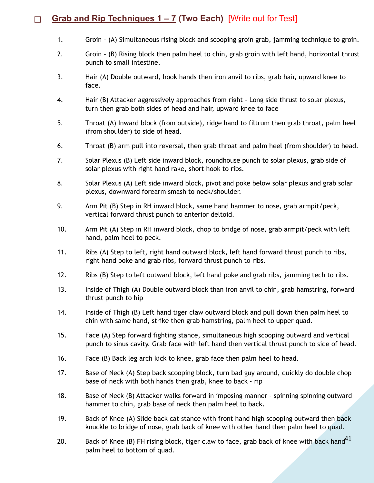#### □ **Grab and Rip Techniques 1 – 7 (Two Each)** [Write out for Test]

- 1. Groin (A) Simultaneous rising block and scooping groin grab, jamming technique to groin.
- 2. Groin (B) Rising block then palm heel to chin, grab groin with left hand, horizontal thrust punch to small intestine.
- 3. Hair (A) Double outward, hook hands then iron anvil to ribs, grab hair, upward knee to face.
- 4. Hair (B) Attacker aggressively approaches from right Long side thrust to solar plexus, turn then grab both sides of head and hair, upward knee to face
- 5. Throat (A) Inward block (from outside), ridge hand to filtrum then grab throat, palm heel (from shoulder) to side of head.
- 6. Throat (B) arm pull into reversal, then grab throat and palm heel (from shoulder) to head.
- 7. Solar Plexus (B) Left side inward block, roundhouse punch to solar plexus, grab side of solar plexus with right hand rake, short hook to ribs.
- 8. Solar Plexus (A) Left side inward block, pivot and poke below solar plexus and grab solar plexus, downward forearm smash to neck/shoulder.
- 9. Arm Pit (B) Step in RH inward block, same hand hammer to nose, grab armpit/peck, vertical forward thrust punch to anterior deltoid.
- 10. Arm Pit (A) Step in RH inward block, chop to bridge of nose, grab armpit/peck with left hand, palm heel to peck.
- 11. Ribs (A) Step to left, right hand outward block, left hand forward thrust punch to ribs, right hand poke and grab ribs, forward thrust punch to ribs.
- 12. Ribs (B) Step to left outward block, left hand poke and grab ribs, jamming tech to ribs.
- 13. Inside of Thigh (A) Double outward block than iron anvil to chin, grab hamstring, forward thrust punch to hip
- 14. Inside of Thigh (B) Left hand tiger claw outward block and pull down then palm heel to chin with same hand, strike then grab hamstring, palm heel to upper quad.
- 15. Face (A) Step forward fighting stance, simultaneous high scooping outward and vertical punch to sinus cavity. Grab face with left hand then vertical thrust punch to side of head.
- 16. Face (B) Back leg arch kick to knee, grab face then palm heel to head.
- 17. Base of Neck (A) Step back scooping block, turn bad guy around, quickly do double chop base of neck with both hands then grab, knee to back - rip
- 18. Base of Neck (B) Attacker walks forward in imposing manner spinning spinning outward hammer to chin, grab base of neck then palm heel to back.
- 19. Back of Knee (A) Slide back cat stance with front hand high scooping outward then back knuckle to bridge of nose, grab back of knee with other hand then palm heel to quad.
- 20.  $\qquad$  Back of Knee (B) FH rising block, tiger claw to face, grab back of knee with back hand $^{41}$ palm heel to bottom of quad.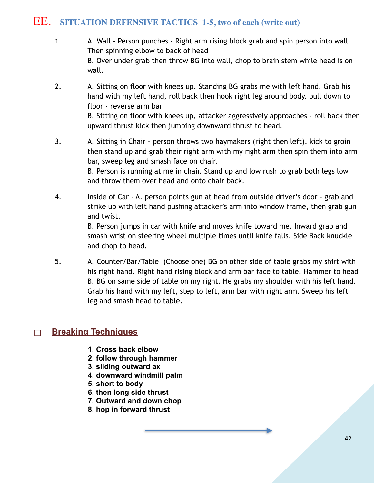#### EE. **SITUATION DEFENSIVE TACTICS 1-5, two of each (write out)**

- 1. A. Wall Person punches Right arm rising block grab and spin person into wall. Then spinning elbow to back of head B. Over under grab then throw BG into wall, chop to brain stem while head is on wall.
- 2. A. Sitting on floor with knees up. Standing BG grabs me with left hand. Grab his hand with my left hand, roll back then hook right leg around body, pull down to floor - reverse arm bar B. Sitting on floor with knees up, attacker aggressively approaches - roll back then

upward thrust kick then jumping downward thrust to head.

3. A. Sitting in Chair - person throws two haymakers (right then left), kick to groin then stand up and grab their right arm with my right arm then spin them into arm bar, sweep leg and smash face on chair.

> B. Person is running at me in chair. Stand up and low rush to grab both legs low and throw them over head and onto chair back.

4. Inside of Car - A. person points gun at head from outside driver's door - grab and strike up with left hand pushing attacker's arm into window frame, then grab gun and twist.

> B. Person jumps in car with knife and moves knife toward me. Inward grab and smash wrist on steering wheel multiple times until knife falls. Side Back knuckle and chop to head.

5. A. Counter/Bar/Table (Choose one) BG on other side of table grabs my shirt with his right hand. Right hand rising block and arm bar face to table. Hammer to head B. BG on same side of table on my right. He grabs my shoulder with his left hand. Grab his hand with my left, step to left, arm bar with right arm. Sweep his left leg and smash head to table.

#### □ **Breaking Techniques**

- **1. Cross back elbow**
- **2. follow through hammer**
- **3. sliding outward ax**
- **4. downward windmill palm**
- **5. short to body**
- **6. then long side thrust**
- **7. Outward and down chop**
- **8. hop in forward thrust**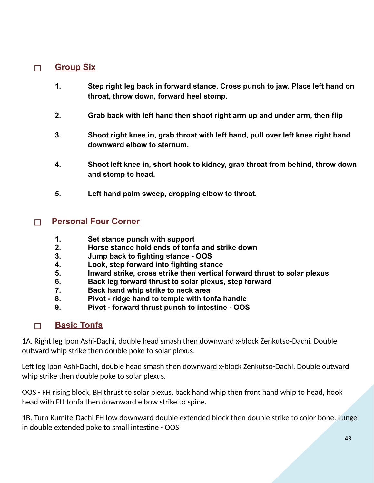#### □ **Group Six**

- **1. Step right leg back in forward stance. Cross punch to jaw. Place left hand on throat, throw down, forward heel stomp.**
- **2. Grab back with left hand then shoot right arm up and under arm, then flip**
- **3. Shoot right knee in, grab throat with left hand, pull over left knee right hand downward elbow to sternum.**
- **4. Shoot left knee in, short hook to kidney, grab throat from behind, throw down and stomp to head.**
- **5. Left hand palm sweep, dropping elbow to throat.**

#### □ **Personal Four Corner**

- **1. Set stance punch with support**
- **2. Horse stance hold ends of tonfa and strike down**
- **3. Jump back to fighting stance OOS**
- **4. Look, step forward into fighting stance**
- **5. Inward strike, cross strike then vertical forward thrust to solar plexus**
- **6. Back leg forward thrust to solar plexus, step forward**
- **7. Back hand whip strike to neck area**
- **8. Pivot ridge hand to temple with tonfa handle**
- **9. Pivot forward thrust punch to intestine OOS**

#### □ **Basic Tonfa**

1A. Right leg Ipon Ashi-Dachi, double head smash then downward x-block Zenkutso-Dachi. Double outward whip strike then double poke to solar plexus.

Left leg Ipon Ashi-Dachi, double head smash then downward x-block Zenkutso-Dachi. Double outward whip strike then double poke to solar plexus.

OOS - FH rising block, BH thrust to solar plexus, back hand whip then front hand whip to head, hook head with FH tonfa then downward elbow strike to spine.

1B. Turn Kumite-Dachi FH low downward double extended block then double strike to color bone. Lunge in double extended poke to small intestine - OOS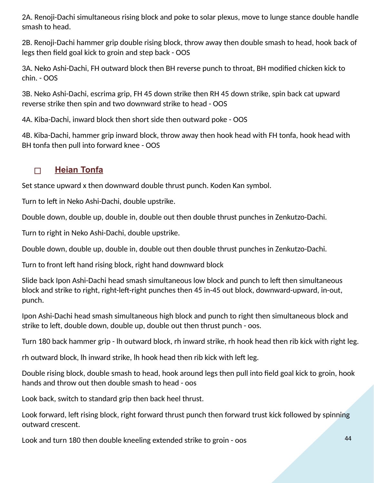2A. Renoji-Dachi simultaneous rising block and poke to solar plexus, move to lunge stance double handle smash to head.

2B. Renoji-Dachi hammer grip double rising block, throw away then double smash to head, hook back of legs then field goal kick to groin and step back - OOS

3A. Neko Ashi-Dachi, FH outward block then BH reverse punch to throat, BH modified chicken kick to chin. - OOS

3B. Neko Ashi-Dachi, escrima grip, FH 45 down strike then RH 45 down strike, spin back cat upward reverse strike then spin and two downward strike to head - OOS

4A. Kiba-Dachi, inward block then short side then outward poke - OOS

4B. Kiba-Dachi, hammer grip inward block, throw away then hook head with FH tonfa, hook head with BH tonfa then pull into forward knee - OOS

#### □ **Heian Tonfa**

Set stance upward x then downward double thrust punch. Koden Kan symbol.

Turn to left in Neko Ashi-Dachi, double upstrike.

Double down, double up, double in, double out then double thrust punches in Zenkutzo-Dachi.

Turn to right in Neko Ashi-Dachi, double upstrike.

Double down, double up, double in, double out then double thrust punches in Zenkutzo-Dachi.

Turn to front left hand rising block, right hand downward block

Slide back Ipon Ashi-Dachi head smash simultaneous low block and punch to left then simultaneous block and strike to right, right-left-right punches then 45 in-45 out block, downward-upward, in-out, punch.

Ipon Ashi-Dachi head smash simultaneous high block and punch to right then simultaneous block and strike to left, double down, double up, double out then thrust punch - oos.

Turn 180 back hammer grip - lh outward block, rh inward strike, rh hook head then rib kick with right leg.

rh outward block, Ih inward strike, Ih hook head then rib kick with left leg.

Double rising block, double smash to head, hook around legs then pull into field goal kick to groin, hook hands and throw out then double smash to head - oos

Look back, switch to standard grip then back heel thrust.

Look forward, left rising block, right forward thrust punch then forward trust kick followed by spinning outward crescent.

Look and turn 180 then double kneeling extended strike to groin - oos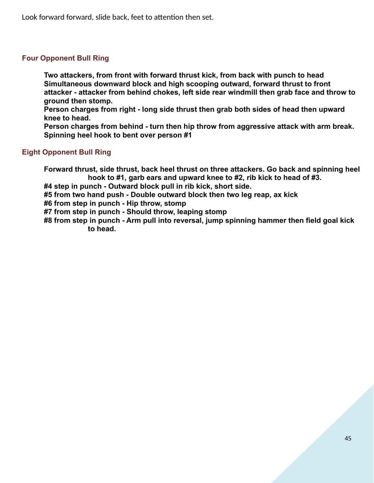Look forward forward, slide back, feet to attention then set.

#### **Four Opponent Bull Ring**

**Two attackers, from front with forward thrust kick, from back with punch to head Simultaneous downward block and high scooping outward, forward thrust to front attacker - attacker from behind chokes, left side rear windmill then grab face and throw to ground then stomp.** 

**Person charges from right - long side thrust then grab both sides of head then upward knee to head.** 

**Person charges from behind - turn then hip throw from aggressive attack with arm break. Spinning heel hook to bent over person #1** 

#### **Eight Opponent Bull Ring**

**Forward thrust, side thrust, back heel thrust on three attackers. Go back and spinning heel hook to #1, garb ears and upward knee to #2, rib kick to head of #3.** 

**#4 step in punch - Outward block pull in rib kick, short side.** 

**#5 from two hand push - Double outward block then two leg reap, ax kick** 

**#6 from step in punch - Hip throw, stomp** 

**#7 from step in punch - Should throw, leaping stomp** 

**#8 from step in punch - Arm pull into reversal, jump spinning hammer then field goal kick to head.**